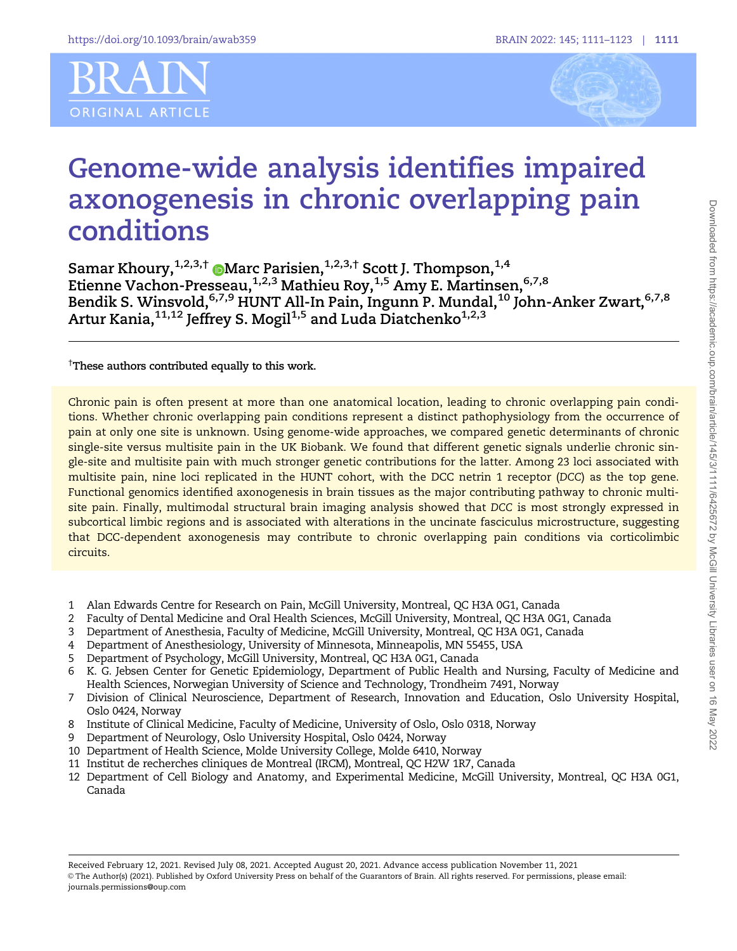



# Genome-wide analysis identifies impaired axonogenesis in chronic overlapping pain conditions

Samar Khoury, $^{1,2,3,\dagger}$   $\textcircled{\textsc{~Max}}$  $\textcircled{\textsc{~Max}}$  $\textcircled{\textsc{~Max}}$  Parisien, $^{1,2,3,\dagger}$  Scott J. Thompson, $^{1,4}$ Etienne Vachon-Presseau,<sup>1,2,3</sup> Mathieu Roy,<sup>1,5</sup> Amy E. Martinsen,<sup>6,7,8</sup> Bendik S. Winsvold,  $6,7,9$  HUNT All-In Pain, Ingunn P. Mundal,  $10$  John-Anker Zwart,  $6,7,8$ Artur Kania, $11,12$  Jeffrey S. Mogil $1,5$  and Luda Diatchenko<sup>1,2,3</sup>

 $^\dagger$ These authors contributed equally to this work.

Chronic pain is often present at more than one anatomical location, leading to chronic overlapping pain conditions. Whether chronic overlapping pain conditions represent a distinct pathophysiology from the occurrence of pain at only one site is unknown. Using genome-wide approaches, we compared genetic determinants of chronic single-site versus multisite pain in the UK Biobank. We found that different genetic signals underlie chronic single-site and multisite pain with much stronger genetic contributions for the latter. Among 23 loci associated with multisite pain, nine loci replicated in the HUNT cohort, with the DCC netrin 1 receptor (DCC) as the top gene. Functional genomics identified axonogenesis in brain tissues as the major contributing pathway to chronic multisite pain. Finally, multimodal structural brain imaging analysis showed that DCC is most strongly expressed in subcortical limbic regions and is associated with alterations in the uncinate fasciculus microstructure, suggesting that DCC-dependent axonogenesis may contribute to chronic overlapping pain conditions via corticolimbic circuits.

- 1 Alan Edwards Centre for Research on Pain, McGill University, Montreal, QC H3A 0G1, Canada
- 2 Faculty of Dental Medicine and Oral Health Sciences, McGill University, Montreal, QC H3A 0G1, Canada
- 3 Department of Anesthesia, Faculty of Medicine, McGill University, Montreal, QC H3A 0G1, Canada
- 4 Department of Anesthesiology, University of Minnesota, Minneapolis, MN 55455, USA<br>5 Department of Psychology, McGill University. Montreal. OC H3A 0G1. Canada
- 5 Department of Psychology, McGill University, Montreal, QC H3A 0G1, Canada
- 6 K. G. Jebsen Center for Genetic Epidemiology, Department of Public Health and Nursing, Faculty of Medicine and Health Sciences, Norwegian University of Science and Technology, Trondheim 7491, Norway
- 7 Division of Clinical Neuroscience, Department of Research, Innovation and Education, Oslo University Hospital, Oslo 0424, Norway
- 8 Institute of Clinical Medicine, Faculty of Medicine, University of Oslo, Oslo 0318, Norway
- 9 Department of Neurology, Oslo University Hospital, Oslo 0424, Norway
- 10 Department of Health Science, Molde University College, Molde 6410, Norway
- 11 Institut de recherches cliniques de Montreal (IRCM), Montreal, QC H2W 1R7, Canada
- 12 Department of Cell Biology and Anatomy, and Experimental Medicine, McGill University, Montreal, QC H3A 0G1, Canada

Received February 12, 2021. Revised July 08, 2021. Accepted August 20, 2021. Advance access publication November 11, 2021 V<sup>C</sup> The Author(s) (2021). Published by Oxford University Press on behalf of the Guarantors of Brain. All rights reserved. For permissions, please email: journals.permissions@oup.com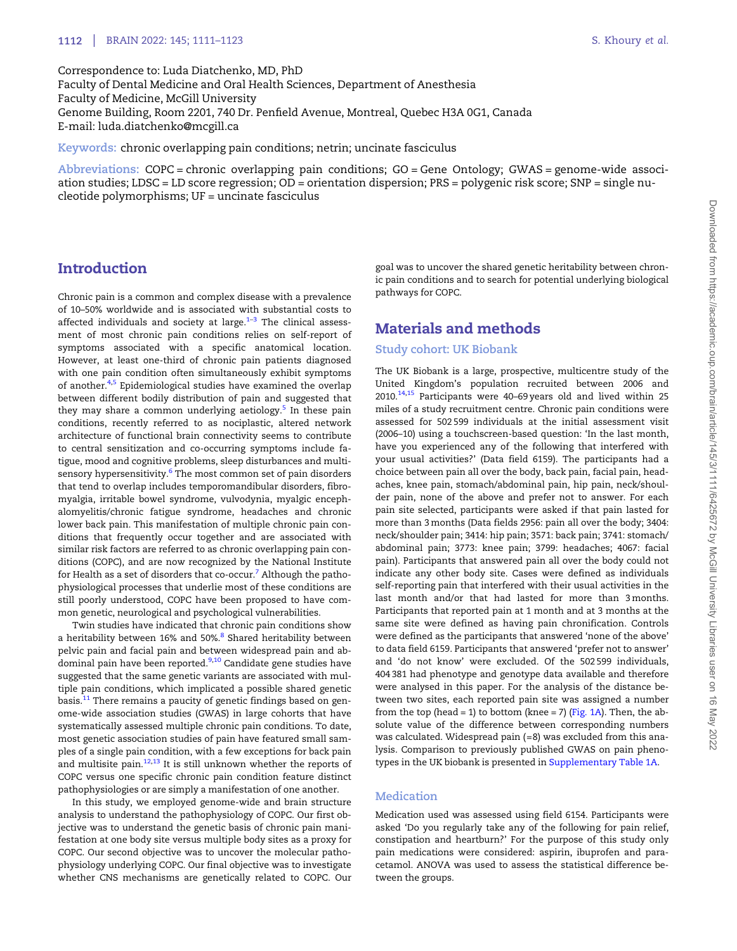<span id="page-1-0"></span>Correspondence to: Luda Diatchenko, MD, PhD Faculty of Dental Medicine and Oral Health Sciences, Department of Anesthesia Faculty of Medicine, McGill University Genome Building, Room 2201, 740 Dr. Penfield Avenue, Montreal, Quebec H3A 0G1, Canada E-mail: luda.diatchenko@mcgill.ca

Keywords: chronic overlapping pain conditions; netrin; uncinate fasciculus

Abbreviations: COPC = chronic overlapping pain conditions; GO = Gene Ontology; GWAS = genome-wide association studies; LDSC = LD score regression; OD = orientation dispersion; PRS = polygenic risk score; SNP = single nucleotide polymorphisms; UF = uncinate fasciculus

# Introduction

Chronic pain is a common and complex disease with a prevalence of 10–50% worldwide and is associated with substantial costs to affected individuals and society at large. $1-3$  The clinical assessment of most chronic pain conditions relies on self-report of symptoms associated with a specific anatomical location. However, at least one-third of chronic pain patients diagnosed with one pain condition often simultaneously exhibit symptoms of another.<sup>[4](#page-11-0),[5](#page-11-0)</sup> Epidemiological studies have examined the overlap between different bodily distribution of pain and suggested that they may share a common underlying aetiology.<sup>[5](#page-11-0)</sup> In these pain conditions, recently referred to as nociplastic, altered network architecture of functional brain connectivity seems to contribute to central sensitization and co-occurring symptoms include fatigue, mood and cognitive problems, sleep disturbances and multi-sensory hypersensitivity.<sup>[6](#page-11-0)</sup> The most common set of pain disorders that tend to overlap includes temporomandibular disorders, fibromyalgia, irritable bowel syndrome, vulvodynia, myalgic encephalomyelitis/chronic fatigue syndrome, headaches and chronic lower back pain. This manifestation of multiple chronic pain conditions that frequently occur together and are associated with similar risk factors are referred to as chronic overlapping pain conditions (COPC), and are now recognized by the National Institute for Health as a set of disorders that co-occur.<sup>[7](#page-11-0)</sup> Although the pathophysiological processes that underlie most of these conditions are still poorly understood, COPC have been proposed to have common genetic, neurological and psychological vulnerabilities.

Twin studies have indicated that chronic pain conditions show a heritability between 16% and 50%.<sup>[8](#page-11-0)</sup> Shared heritability between pelvic pain and facial pain and between widespread pain and abdominal pain have been reported. $9,10$  $9,10$  $9,10$  Candidate gene studies have suggested that the same genetic variants are associated with multiple pain conditions, which implicated a possible shared genetic basis.<sup>[11](#page-11-0)</sup> There remains a paucity of genetic findings based on genome-wide association studies (GWAS) in large cohorts that have systematically assessed multiple chronic pain conditions. To date, most genetic association studies of pain have featured small samples of a single pain condition, with a few exceptions for back pain and multisite pain. $12,13$  $12,13$  $12,13$  It is still unknown whether the reports of COPC versus one specific chronic pain condition feature distinct pathophysiologies or are simply a manifestation of one another.

In this study, we employed genome-wide and brain structure analysis to understand the pathophysiology of COPC. Our first objective was to understand the genetic basis of chronic pain manifestation at one body site versus multiple body sites as a proxy for COPC. Our second objective was to uncover the molecular pathophysiology underlying COPC. Our final objective was to investigate whether CNS mechanisms are genetically related to COPC. Our goal was to uncover the shared genetic heritability between chronic pain conditions and to search for potential underlying biological pathways for COPC.

# Materials and methods

## Study cohort: UK Biobank

The UK Biobank is a large, prospective, multicentre study of the United Kingdom's population recruited between 2006 and  $2010.<sup>14,15</sup>$  $2010.<sup>14,15</sup>$  $2010.<sup>14,15</sup>$  Participants were 40–69 years old and lived within 25 miles of a study recruitment centre. Chronic pain conditions were assessed for 502 599 individuals at the initial assessment visit (2006–10) using a touchscreen-based question: 'In the last month, have you experienced any of the following that interfered with your usual activities?' (Data field 6159). The participants had a choice between pain all over the body, back pain, facial pain, headaches, knee pain, stomach/abdominal pain, hip pain, neck/shoulder pain, none of the above and prefer not to answer. For each pain site selected, participants were asked if that pain lasted for more than 3 months (Data fields 2956: pain all over the body; 3404: neck/shoulder pain; 3414: hip pain; 3571: back pain; 3741: stomach/ abdominal pain; 3773: knee pain; 3799: headaches; 4067: facial pain). Participants that answered pain all over the body could not indicate any other body site. Cases were defined as individuals self-reporting pain that interfered with their usual activities in the last month and/or that had lasted for more than 3 months. Participants that reported pain at 1 month and at 3 months at the same site were defined as having pain chronification. Controls were defined as the participants that answered 'none of the above' to data field 6159. Participants that answered 'prefer not to answer' and 'do not know' were excluded. Of the 502 599 individuals, 404 381 had phenotype and genotype data available and therefore were analysed in this paper. For the analysis of the distance between two sites, each reported pain site was assigned a number from the top (head = 1) to bottom (knee = 7) [\(Fig. 1A](#page-6-0)). Then, the absolute value of the difference between corresponding numbers was calculated. Widespread pain (=8) was excluded from this analysis. Comparison to previously published GWAS on pain phenotypes in the UK biobank is presented in [Supplementary Table 1A](https://academic.oup.com/brain/article-lookup/doi/10.1093/brain/awab359#supplementary-data).

## **Medication**

Medication used was assessed using field 6154. Participants were asked 'Do you regularly take any of the following for pain relief, constipation and heartburn?' For the purpose of this study only pain medications were considered: aspirin, ibuprofen and paracetamol. ANOVA was used to assess the statistical difference between the groups.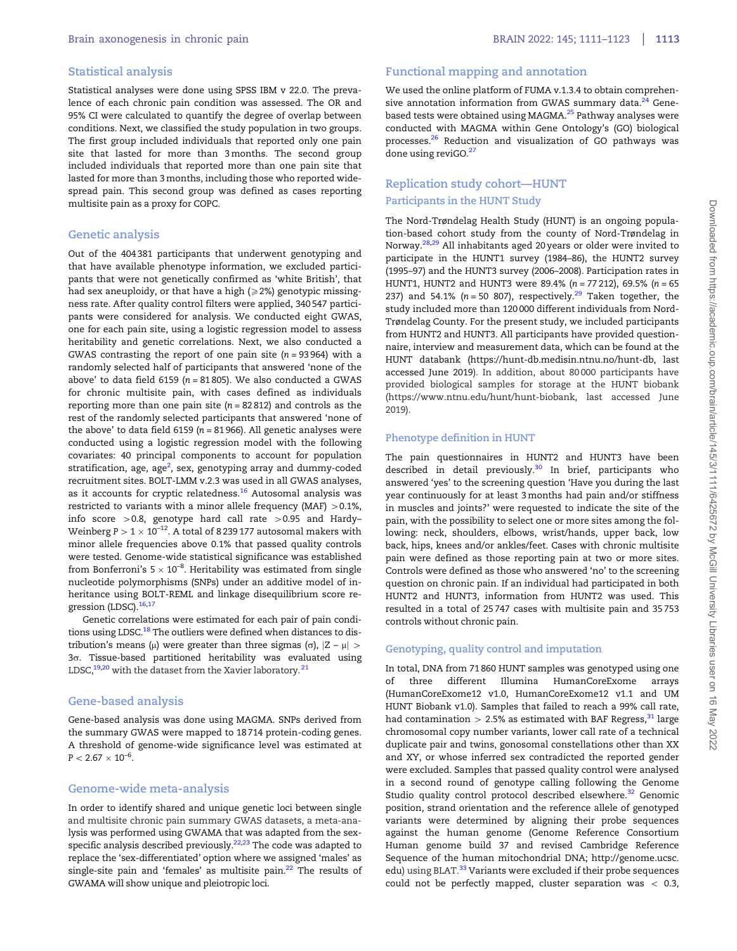## <span id="page-2-0"></span>Statistical analysis

Statistical analyses were done using SPSS IBM v 22.0. The prevalence of each chronic pain condition was assessed. The OR and 95% CI were calculated to quantify the degree of overlap between conditions. Next, we classified the study population in two groups. The first group included individuals that reported only one pain site that lasted for more than 3 months. The second group included individuals that reported more than one pain site that lasted for more than 3 months, including those who reported widespread pain. This second group was defined as cases reporting multisite pain as a proxy for COPC.

### Genetic analysis

Out of the 404 381 participants that underwent genotyping and that have available phenotype information, we excluded participants that were not genetically confirmed as 'white British', that had sex aneuploidy, or that have a high  $(2, 2)$  genotypic missingness rate. After quality control filters were applied, 340 547 participants were considered for analysis. We conducted eight GWAS, one for each pain site, using a logistic regression model to assess heritability and genetic correlations. Next, we also conducted a GWAS contrasting the report of one pain site  $(n = 93964)$  with a randomly selected half of participants that answered 'none of the above' to data field 6159 ( $n = 81805$ ). We also conducted a GWAS for chronic multisite pain, with cases defined as individuals reporting more than one pain site  $(n = 82812)$  and controls as the rest of the randomly selected participants that answered 'none of the above' to data field 6159 ( $n = 81966$ ). All genetic analyses were conducted using a logistic regression model with the following covariates: 40 principal components to account for population stratification, age, age<sup>[2](#page-11-0)</sup>, sex, genotyping array and dummy-coded recruitment sites. BOLT-LMM v.2.3 was used in all GWAS analyses, as it accounts for cryptic relatedness.<sup>[16](#page-11-0)</sup> Autosomal analysis was restricted to variants with a minor allele frequency (MAF)  $> 0.1\%$ , info score  $>0.8$ , genotype hard call rate  $>0.95$  and Hardy– Weinberg P  $>$  1  $\times$  10<sup>–12</sup>. A total of 8 239 177 autosomal makers with minor allele frequencies above 0.1% that passed quality controls were tested. Genome-wide statistical significance was established from Bonferroni's 5  $\times$  10 $^{-8}$ . Heritability was estimated from single nucleotide polymorphisms (SNPs) under an additive model of inheritance using BOLT-REML and linkage disequilibrium score re-gression (LDSC).<sup>[16](#page-11-0),[17](#page-11-0)</sup>

Genetic correlations were estimated for each pair of pain condi-tions using LDSC.<sup>[18](#page-11-0)</sup> The outliers were defined when distances to distribution's means ( $\mu$ ) were greater than three sigmas ( $\sigma$ ),  $|Z - \mu|$  >  $3\sigma$ . Tissue-based partitioned heritability was evaluated using LDSC, $^{\rm 19,20}$  $^{\rm 19,20}$  $^{\rm 19,20}$  $^{\rm 19,20}$  $^{\rm 19,20}$  with the dataset from the Xavier laboratory. $^{\rm 21}$  $^{\rm 21}$  $^{\rm 21}$ 

#### Gene-based analysis

Gene-based analysis was done using MAGMA. SNPs derived from the summary GWAS were mapped to 18 714 protein-coding genes. A threshold of genome-wide significance level was estimated at  $P < 2.67 \times 10^{-6}$ .

#### Genome-wide meta-analysis

In order to identify shared and unique genetic loci between single lysis was performed using GWAMA that was adapted from the sex-specific analysis described previously.<sup>22,[23](#page-11-0)</sup> The code was adapted to replace the 'sex-differentiated' option where we assigned 'males' as single-site pain and 'females' as multisite pain. $22$  The results of GWAMA will show unique and pleiotropic loci. and multisite chronic pain summary GWAS datasets, a meta-ana-

# Functional mapping and annotation

We used the online platform of FUMA v.1.3.4 to obtain comprehen-sive annotation information from GWAS summary data.<sup>[24](#page-11-0)</sup> Gene-based tests were obtained using MAGMA.<sup>[25](#page-11-0)</sup> Pathway analyses were conducted with MAGMA within Gene Ontology's (GO) biological processes[.26](#page-11-0) Reduction and visualization of GO pathways was done using reviGO.<sup>[27](#page-11-0)</sup>

# Replication study cohort—HUNT Participants in the HUNT Study

The Nord-Trøndelag Health Study (HUNT) is an ongoing population-based cohort study from the county of Nord-Trøndelag in Norway.[28](#page-11-0),[29](#page-11-0) All inhabitants aged 20 years or older were invited to participate in the HUNT1 survey (1984–86), the HUNT2 survey (1995–97) and the HUNT3 survey (2006–2008). Participation rates in HUNT1, HUNT2 and HUNT3 were 89.4% ( $n = 77212$ ), 69.5% ( $n = 65$ 237) and 54.1% ( $n = 50$  807), respectively.<sup>[29](#page-11-0)</sup> Taken together, the study included more than 120 000 different individuals from Nord-Trøndelag County. For the present study, we included participants from HUNT2 and HUNT3. All participants have provided questionnaire, interview and measurement data, which can be found at the HUNT databank [\(https://hunt-db.medisin.ntnu.no/hunt-db, last](https://hunt-db.medisin.ntnu.no/hunt-db) [accessed June 2019](https://hunt-db.medisin.ntnu.no/hunt-db)). In addition, about 80 000 participants have provided biological samples for storage at the HUNT biobank ([https://www.ntnu.edu/hunt/hunt-biobank, last accessed June](https://www.ntnu.edu/hunt/hunt-biobank) [2019](https://www.ntnu.edu/hunt/hunt-biobank)).

## Phenotype definition in HUNT

The pain questionnaires in HUNT2 and HUNT3 have been described in detail previously.<sup>[30](#page-11-0)</sup> In brief, participants who answered 'yes' to the screening question 'Have you during the last year continuously for at least 3 months had pain and/or stiffness in muscles and joints?' were requested to indicate the site of the pain, with the possibility to select one or more sites among the following: neck, shoulders, elbows, wrist/hands, upper back, low back, hips, knees and/or ankles/feet. Cases with chronic multisite pain were defined as those reporting pain at two or more sites. Controls were defined as those who answered 'no' to the screening question on chronic pain. If an individual had participated in both HUNT2 and HUNT3, information from HUNT2 was used. This resulted in a total of 25 747 cases with multisite pain and 35 753 controls without chronic pain.

#### Genotyping, quality control and imputation

In total, DNA from 71 860 HUNT samples was genotyped using one of three different Illumina HumanCoreExome arrays (HumanCoreExome12 v1.0, HumanCoreExome12 v1.1 and UM HUNT Biobank v1.0). Samples that failed to reach a 99% call rate, had contamination  $> 2.5\%$  as estimated with BAF Regress,  $31$  large chromosomal copy number variants, lower call rate of a technical duplicate pair and twins, gonosomal constellations other than XX and XY, or whose inferred sex contradicted the reported gender were excluded. Samples that passed quality control were analysed in a second round of genotype calling following the Genome Studio quality control protocol described elsewhere.<sup>[32](#page-12-0)</sup> Genomic position, strand orientation and the reference allele of genotyped variants were determined by aligning their probe sequences against the human genome (Genome Reference Consortium Human genome build 37 and revised Cambridge Reference Sequence of the human mitochondrial DNA; [http://genome.ucsc.](http://genome.ucsc.edu) [edu](http://genome.ucsc.edu)) using BLAT.<sup>[33](#page-12-0)</sup> Variants were excluded if their probe sequences could not be perfectly mapped, cluster separation was  $<$  0.3,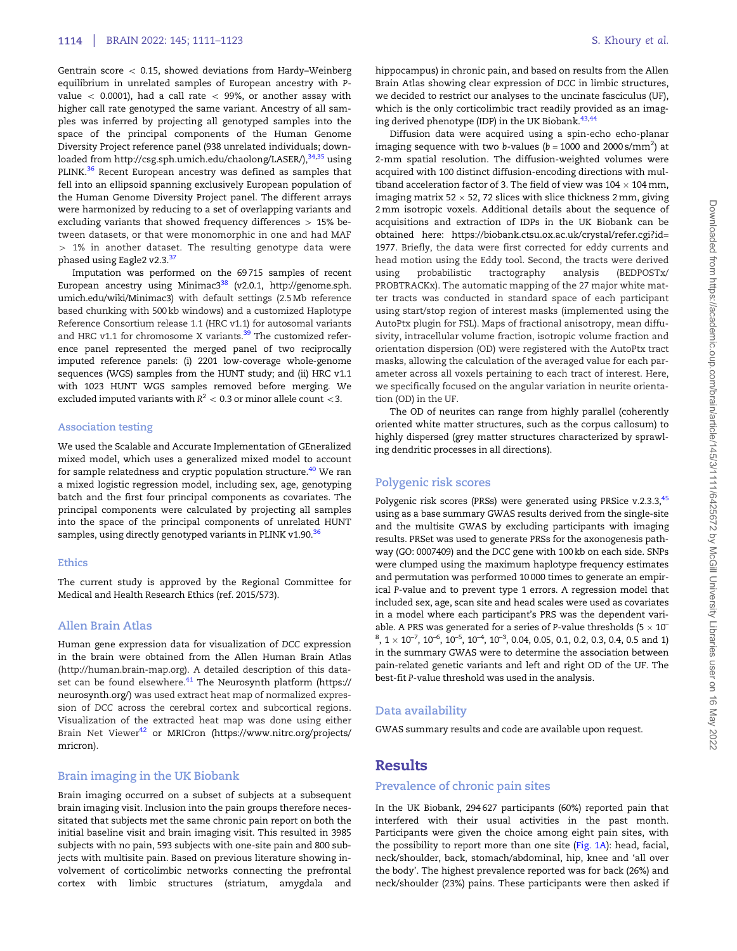<span id="page-3-0"></span>Gentrain score  $<$  0.15, showed deviations from Hardy–Weinberg equilibrium in unrelated samples of European ancestry with Pvalue  $<$  0.0001), had a call rate  $<$  99%, or another assay with higher call rate genotyped the same variant. Ancestry of all samples was inferred by projecting all genotyped samples into the space of the principal components of the Human Genome Diversity Project reference panel (938 unrelated individuals; downloaded from [http://csg.sph.umich.edu/chaolong/LASER/\)](http://csg.sph.umich.edu/chaolong/LASER/),<sup>[34](#page-12-0),[35](#page-12-0)</sup> using PLINK.<sup>[36](#page-12-0)</sup> Recent European ancestry was defined as samples that fell into an ellipsoid spanning exclusively European population of the Human Genome Diversity Project panel. The different arrays were harmonized by reducing to a set of overlapping variants and excluding variants that showed frequency differences  $> 15%$  be-phased using Eagle2 v2.3.<sup>[37](#page-12-0)</sup> tween datasets, or that were monomorphic in one and had MAF  $> 1\%$  in another dataset. The resulting genotype data were

Imputation was performed on the 69 715 samples of recent European ancestry using Minimac3<sup>[38](#page-12-0)</sup> (v2.0.1, [http://genome.sph.](http://genome.sph.umich.edu/wiki/Minimac3) [umich.edu/wiki/Minimac3](http://genome.sph.umich.edu/wiki/Minimac3)) with default settings (2.5 Mb reference based chunking with 500 kb windows) and a customized Haplotype Reference Consortium release 1.1 (HRC v1.1) for autosomal variants and HRC v1.1 for chromosome X variants. $39$  The customized reference panel represented the merged panel of two reciprocally imputed reference panels: (i) 2201 low-coverage whole-genome sequences (WGS) samples from the HUNT study; and (ii) HRC v1.1 with 1023 HUNT WGS samples removed before merging. We excluded imputed variants with  $R^2 < 0.3$  or minor allele count  $<$ 3.

#### Association testing

We used the Scalable and Accurate Implementation of GEneralized mixed model, which uses a generalized mixed model to account for sample relatedness and cryptic population structure.<sup>[40](#page-12-0)</sup> We ran a mixed logistic regression model, including sex, age, genotyping batch and the first four principal components as covariates. The principal components were calculated by projecting all samples into the space of the principal components of unrelated HUNT samples, using directly genotyped variants in PLINK v1.90.<sup>[36](#page-12-0)</sup>

#### Ethics

The current study is approved by the Regional Committee for Medical and Health Research Ethics (ref. 2015/573).

## Allen Brain Atlas

Human gene expression data for visualization of DCC expression in the brain were obtained from the Allen Human Brain Atlas set can be found elsewhere.<sup>[41](#page-12-0)</sup> The Neurosynth platform [\(https://](https://neurosynth.org/) [neurosynth.org/](https://neurosynth.org/)) was used extract heat map of normalized expression of DCC across the cerebral cortex and subcortical regions. Visualization of the extracted heat map was done using either Brain Net Viewer<sup>[42](#page-12-0)</sup> or MRICron [\(https://www.nitrc.org/projects/](https://www.nitrc.org/projects/mricron) [mricron\)](https://www.nitrc.org/projects/mricron). ([http://human.brain-map.org\)](http://human.brain-map.org). A detailed description of this data-

## Brain imaging in the UK Biobank

Brain imaging occurred on a subset of subjects at a subsequent brain imaging visit. Inclusion into the pain groups therefore necessitated that subjects met the same chronic pain report on both the initial baseline visit and brain imaging visit. This resulted in 3985 subjects with no pain, 593 subjects with one-site pain and 800 subjects with multisite pain. Based on previous literature showing involvement of corticolimbic networks connecting the prefrontal cortex with limbic structures (striatum, amygdala and

hippocampus) in chronic pain, and based on results from the Allen Brain Atlas showing clear expression of DCC in limbic structures, we decided to restrict our analyses to the uncinate fasciculus (UF), which is the only corticolimbic tract readily provided as an imag-ing derived phenotype (IDP) in the UK Biobank.<sup>[43,44](#page-12-0)</sup>

Diffusion data were acquired using a spin-echo echo-planar imaging sequence with two b-values ( $b$  = 1000 and 2000 s/mm $^2\rm{)}$  at 2-mm spatial resolution. The diffusion-weighted volumes were acquired with 100 distinct diffusion-encoding directions with multiband acceleration factor of 3. The field of view was 104  $\times$  104 mm, imaging matrix 52  $\times$  52, 72 slices with slice thickness 2 mm, giving 2 mm isotropic voxels. Additional details about the sequence of acquisitions and extraction of IDPs in the UK Biobank can be obtained here: [https://biobank.ctsu.ox.ac.uk/crystal/refer.cgi?id=](https://biobank.ctsu.ox.ac.uk/crystal/refer.cgi?id=1977) [1977.](https://biobank.ctsu.ox.ac.uk/crystal/refer.cgi?id=1977) Briefly, the data were first corrected for eddy currents and head motion using the Eddy tool. Second, the tracts were derived using probabilistic tractography analysis (BEDPOSTx/ PROBTRACKx). The automatic mapping of the 27 major white matter tracts was conducted in standard space of each participant using start/stop region of interest masks (implemented using the AutoPtx plugin for FSL). Maps of fractional anisotropy, mean diffusivity, intracellular volume fraction, isotropic volume fraction and orientation dispersion (OD) were registered with the AutoPtx tract masks, allowing the calculation of the averaged value for each parameter across all voxels pertaining to each tract of interest. Here, we specifically focused on the angular variation in neurite orientation (OD) in the UF.

The OD of neurites can range from highly parallel (coherently oriented white matter structures, such as the corpus callosum) to highly dispersed (grey matter structures characterized by sprawling dendritic processes in all directions).

#### Polygenic risk scores

Polygenic risk scores (PRSs) were generated using PRSice v.2.3.3, [45](#page-12-0) using as a base summary GWAS results derived from the single-site and the multisite GWAS by excluding participants with imaging results. PRSet was used to generate PRSs for the axonogenesis pathway (GO: 0007409) and the DCC gene with 100 kb on each side. SNPs were clumped using the maximum haplotype frequency estimates and permutation was performed 10 000 times to generate an empirical P-value and to prevent type 1 errors. A regression model that included sex, age, scan site and head scales were used as covariates in a model where each participant's PRS was the dependent variable. A PRS was generated for a series of P-value thresholds (5  $\times$  10<sup>-</sup>  $^8$ , 1  $\times$  10<sup>-7</sup>, 10<sup>-6</sup>, 10<sup>-5</sup>, 10<sup>-4</sup>, 10<sup>-3</sup>, 0.04, 0.05, 0.1, 0.2, 0.3, 0.4, 0.5 and 1) in the summary GWAS were to determine the association between pain-related genetic variants and left and right OD of the UF. The best-fit P-value threshold was used in the analysis.

## Data availability

GWAS summary results and code are available upon request.

# Results

#### Prevalence of chronic pain sites

In the UK Biobank, 294 627 participants (60%) reported pain that interfered with their usual activities in the past month. Participants were given the choice among eight pain sites, with the possibility to report more than one site ([Fig. 1A](#page-6-0)): head, facial, neck/shoulder, back, stomach/abdominal, hip, knee and 'all over the body'. The highest prevalence reported was for back (26%) and neck/shoulder (23%) pains. These participants were then asked if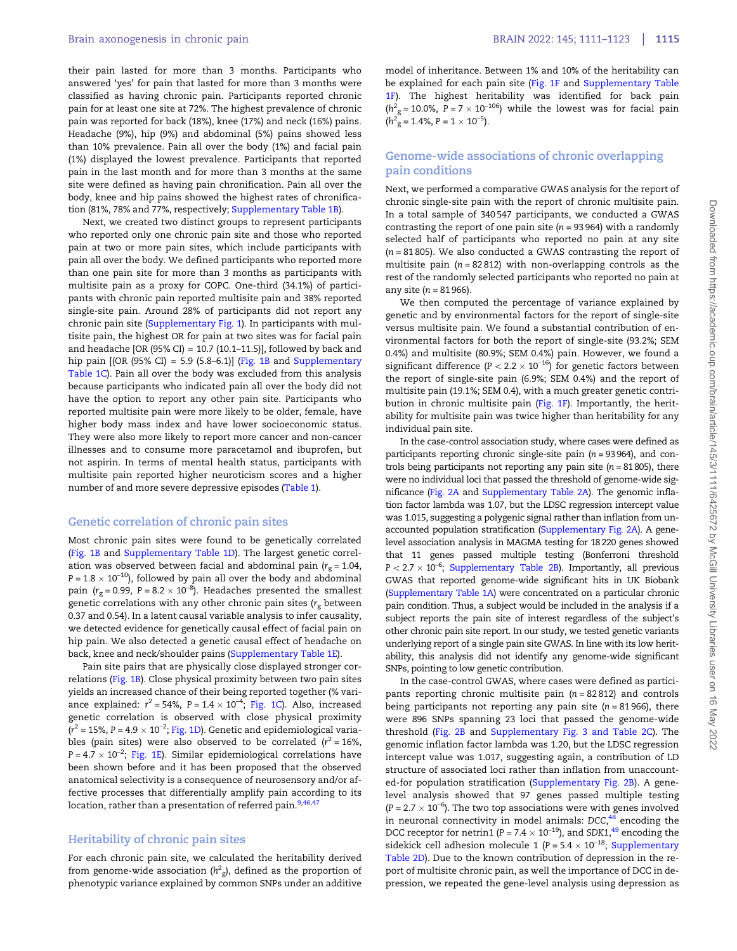<span id="page-4-0"></span>their pain lasted for more than 3 months. Participants who answered 'yes' for pain that lasted for more than 3 months were classified as having chronic pain. Participants reported chronic pain for at least one site at 72%. The highest prevalence of chronic pain was reported for back (18%), knee (17%) and neck (16%) pains. Headache (9%), hip (9%) and abdominal (5%) pains showed less than 10% prevalence. Pain all over the body (1%) and facial pain (1%) displayed the lowest prevalence. Participants that reported pain in the last month and for more than 3 months at the same site were defined as having pain chronification. Pain all over the body, knee and hip pains showed the highest rates of chronification (81%, 78% and 77%, respectively; [Supplementary Table 1B\)](https://academic.oup.com/brain/article-lookup/doi/10.1093/brain/awab359#supplementary-data).

Next, we created two distinct groups to represent participants who reported only one chronic pain site and those who reported pain at two or more pain sites, which include participants with pain all over the body. We defined participants who reported more than one pain site for more than 3 months as participants with multisite pain as a proxy for COPC. One-third (34.1%) of participants with chronic pain reported multisite pain and 38% reported single-site pain. Around 28% of participants did not report any chronic pain site [\(Supplementary Fig. 1\)](https://academic.oup.com/brain/article-lookup/doi/10.1093/brain/awab359#supplementary-data). In participants with multisite pain, the highest OR for pain at two sites was for facial pain and headache [OR (95% CI) = 10.7 (10.1-11.5)], followed by back and hip pain  $[OR (95% CI) = 5.9 (5.8–6.1)]$  [\(Fig. 1B](#page-6-0) and [Supplementary](https://academic.oup.com/brain/article-lookup/doi/10.1093/brain/awab359#supplementary-data) [Table 1C\)](https://academic.oup.com/brain/article-lookup/doi/10.1093/brain/awab359#supplementary-data). Pain all over the body was excluded from this analysis because participants who indicated pain all over the body did not have the option to report any other pain site. Participants who reported multisite pain were more likely to be older, female, have higher body mass index and have lower socioeconomic status. They were also more likely to report more cancer and non-cancer illnesses and to consume more paracetamol and ibuprofen, but not aspirin. In terms of mental health status, participants with multisite pain reported higher neuroticism scores and a higher number of and more severe depressive episodes [\(Table 1](#page-5-0)).

#### Genetic correlation of chronic pain sites

Most chronic pain sites were found to be genetically correlated [\(Fig. 1B](#page-6-0) and [Supplementary Table 1D](https://academic.oup.com/brain/article-lookup/doi/10.1093/brain/awab359#supplementary-data)). The largest genetic correlation was observed between facial and abdominal pain ( $r_g$  = 1.04, P = 1.8  $\times$  10 $^{-10}$ ), followed by pain all over the body and abdominal pain ( $r_{\rm g}$ =0.99, P=8.2  $\times$  10<sup>–8</sup>). Headaches presented the smallest genetic correlations with any other chronic pain sites  $(r<sub>g</sub>$  between 0.37 and 0.54). In a latent causal variable analysis to infer causality, we detected evidence for genetically causal effect of facial pain on hip pain. We also detected a genetic causal effect of headache on back, knee and neck/shoulder pains ([Supplementary Table 1E](https://academic.oup.com/brain/article-lookup/doi/10.1093/brain/awab359#supplementary-data)).

Pain site pairs that are physically close displayed stronger correlations [\(Fig. 1B](#page-6-0)). Close physical proximity between two pain sites yields an increased chance of their being reported together (% variance explained:  $r^2 = 54\%, P = 1.4 \times 10^{-4}$ ; [Fig. 1C](#page-6-0)). Also, increased genetic correlation is observed with close physical proximity ( $r^2$  = 15%, P = 4.9  $\times$  10<sup>-2</sup>; [Fig. 1D](#page-6-0)). Genetic and epidemiological variables (pain sites) were also observed to be correlated ( $r^2 = 16\%$ ,  $P = 4.7 \times 10^{-2}$ ; [Fig. 1E](#page-6-0)). Similar epidemiological correlations have been shown before and it has been proposed that the observed anatomical selectivity is a consequence of neurosensory and/or affective processes that differentially amplify pain according to its location, rather than a presentation of referred pain.<sup>[9](#page-11-0),[46,47](#page-12-0)</sup>

#### Heritability of chronic pain sites

For each chronic pain site, we calculated the heritability derived from genome-wide association ( $h^2_{\rm g}$ ), defined as the proportion of phenotypic variance explained by common SNPs under an additive model of inheritance. Between 1% and 10% of the heritability can be explained for each pain site ([Fig. 1F](#page-6-0) and [Supplementary Table](https://academic.oup.com/brain/article-lookup/doi/10.1093/brain/awab359#supplementary-data) [1F\)](https://academic.oup.com/brain/article-lookup/doi/10.1093/brain/awab359#supplementary-data). The highest heritability was identified for back pain  $(h<sup>2</sup><sub>g</sub> = 10.0%, P = 7 \times 10<sup>-106</sup>)$  while the lowest was for facial pain  $(h<sup>2</sup><sub>g</sub> = 1.4\%, P = 1 \times 10<sup>-5</sup>).$ 

## Genome-wide associations of chronic overlapping pain conditions

Next, we performed a comparative GWAS analysis for the report of chronic single-site pain with the report of chronic multisite pain. In a total sample of 340 547 participants, we conducted a GWAS contrasting the report of one pain site ( $n = 93964$ ) with a randomly selected half of participants who reported no pain at any site  $(n = 81805)$ . We also conducted a GWAS contrasting the report of multisite pain  $(n = 82812)$  with non-overlapping controls as the rest of the randomly selected participants who reported no pain at any site ( $n = 81966$ ).

We then computed the percentage of variance explained by genetic and by environmental factors for the report of single-site versus multisite pain. We found a substantial contribution of environmental factors for both the report of single-site (93.2%; SEM 0.4%) and multisite (80.9%; SEM 0.4%) pain. However, we found a significant difference ( $P < 2.2 \times 10^{-16}$ ) for genetic factors between the report of single-site pain (6.9%; SEM 0.4%) and the report of multisite pain (19.1%; SEM 0.4), with a much greater genetic contribution in chronic multisite pain [\(Fig. 1F\)](#page-6-0). Importantly, the heritability for multisite pain was twice higher than heritability for any individual pain site.

In the case-control association study, where cases were defined as participants reporting chronic single-site pain  $(n = 93964)$ , and controls being participants not reporting any pain site  $(n = 81805)$ , there were no individual loci that passed the threshold of genome-wide significance [\(Fig. 2A](#page-7-0) and [Supplementary Table 2A](https://academic.oup.com/brain/article-lookup/doi/10.1093/brain/awab359#supplementary-data)). The genomic inflation factor lambda was 1.07, but the LDSC regression intercept value was 1.015, suggesting a polygenic signal rather than inflation from unaccounted population stratification ([Supplementary Fig. 2A](https://academic.oup.com/brain/article-lookup/doi/10.1093/brain/awab359#supplementary-data)). A genelevel association analysis in MAGMA testing for 18 220 genes showed that 11 genes passed multiple testing (Bonferroni threshold  $P < 2.7 \times 10^{-6}$ ; [Supplementary Table 2B](https://academic.oup.com/brain/article-lookup/doi/10.1093/brain/awab359#supplementary-data)). Importantly, all previous GWAS that reported genome-wide significant hits in UK Biobank ([Supplementary Table 1A](https://academic.oup.com/brain/article-lookup/doi/10.1093/brain/awab359#supplementary-data)) were concentrated on a particular chronic pain condition. Thus, a subject would be included in the analysis if a subject reports the pain site of interest regardless of the subject's other chronic pain site report. In our study, we tested genetic variants underlying report of a single pain site GWAS. In line with its low heritability, this analysis did not identify any genome-wide significant SNPs, pointing to low genetic contribution.

In the case-control GWAS, where cases were defined as participants reporting chronic multisite pain  $(n = 82812)$  and controls being participants not reporting any pain site  $(n = 81966)$ , there were 896 SNPs spanning 23 loci that passed the genome-wide threshold ([Fig. 2B](#page-7-0) and [Supplementary Fig. 3 and Table 2C](https://academic.oup.com/brain/article-lookup/doi/10.1093/brain/awab359#supplementary-data)). The genomic inflation factor lambda was 1.20, but the LDSC regression intercept value was 1.017, suggesting again, a contribution of LD structure of associated loci rather than inflation from unaccounted-for population stratification ([Supplementary Fig. 2B](https://academic.oup.com/brain/article-lookup/doi/10.1093/brain/awab359#supplementary-data)). A genelevel analysis showed that 97 genes passed multiple testing  $(P = 2.7 \times 10^{-6})$ . The two top associations were with genes involved in neuronal connectivity in model animals: DCC,<sup>[48](#page-12-0)</sup> encoding the DCC receptor for netrin1 ( $P = 7.4 \times 10^{-19}$ ), and SDK1,<sup>[49](#page-12-0)</sup> encoding the sidekick cell adhesion molecule 1 ( $P = 5.4 \times 10^{-18}$ ; [Supplementary](https://academic.oup.com/brain/article-lookup/doi/10.1093/brain/awab359#supplementary-data) [Table 2D](https://academic.oup.com/brain/article-lookup/doi/10.1093/brain/awab359#supplementary-data)). Due to the known contribution of depression in the report of multisite chronic pain, as well the importance of DCC in depression, we repeated the gene-level analysis using depression as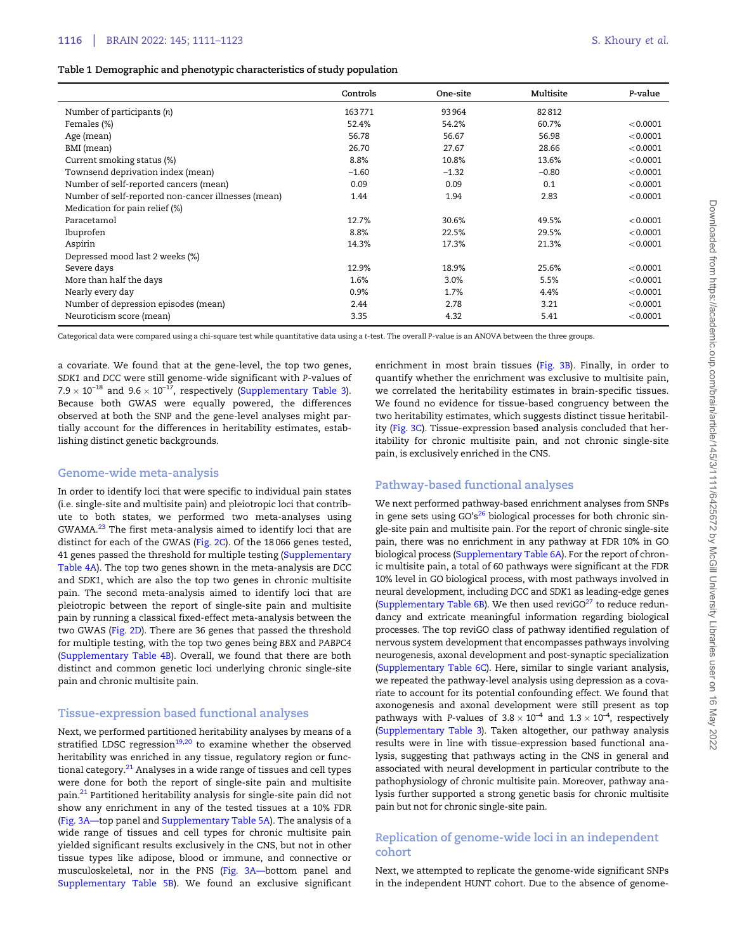#### <span id="page-5-0"></span>Table 1 Demographic and phenotypic characteristics of study population

|                                                     | Controls | One-site | Multisite | P-value  |
|-----------------------------------------------------|----------|----------|-----------|----------|
| Number of participants (n)                          | 163771   | 93964    | 82812     |          |
| Females (%)                                         | 52.4%    | 54.2%    | 60.7%     | < 0.0001 |
| Age (mean)                                          | 56.78    | 56.67    | 56.98     | < 0.0001 |
| BMI (mean)                                          | 26.70    | 27.67    | 28.66     | < 0.0001 |
| Current smoking status (%)                          | 8.8%     | 10.8%    | 13.6%     | < 0.0001 |
| Townsend deprivation index (mean)                   | $-1.60$  | $-1.32$  | $-0.80$   | < 0.0001 |
| Number of self-reported cancers (mean)              | 0.09     | 0.09     | 0.1       | < 0.0001 |
| Number of self-reported non-cancer illnesses (mean) | 1.44     | 1.94     | 2.83      | < 0.0001 |
| Medication for pain relief (%)                      |          |          |           |          |
| Paracetamol                                         | 12.7%    | 30.6%    | 49.5%     | < 0.0001 |
| Ibuprofen                                           | 8.8%     | 22.5%    | 29.5%     | < 0.0001 |
| Aspirin                                             | 14.3%    | 17.3%    | 21.3%     | < 0.0001 |
| Depressed mood last 2 weeks (%)                     |          |          |           |          |
| Severe days                                         | 12.9%    | 18.9%    | 25.6%     | < 0.0001 |
| More than half the days                             | 1.6%     | 3.0%     | 5.5%      | < 0.0001 |
| Nearly every day                                    | 0.9%     | 1.7%     | 4.4%      | < 0.0001 |
| Number of depression episodes (mean)                | 2.44     | 2.78     | 3.21      | < 0.0001 |
| Neuroticism score (mean)                            | 3.35     | 4.32     | 5.41      | < 0.0001 |

Categorical data were compared using a chi-square test while quantitative data using a t-test. The overall P-value is an ANOVA between the three groups.

a covariate. We found that at the gene-level, the top two genes, SDK1 and DCC were still genome-wide significant with P-values of 7.9  $\times$  10 $^{-18}$  and 9.6  $\times$  10 $^{-17}$ , respectively ([Supplementary Table 3\)](https://academic.oup.com/brain/article-lookup/doi/10.1093/brain/awab359#supplementary-data). Because both GWAS were equally powered, the differences observed at both the SNP and the gene-level analyses might partially account for the differences in heritability estimates, establishing distinct genetic backgrounds.

## Genome-wide meta-analysis

In order to identify loci that were specific to individual pain states (i.e. single-site and multisite pain) and pleiotropic loci that contribute to both states, we performed two meta-analyses using GWAMA.[23](#page-11-0) The first meta-analysis aimed to identify loci that are distinct for each of the GWAS [\(Fig. 2C](#page-7-0)). Of the 18 066 genes tested, 41 genes passed the threshold for multiple testing ([Supplementary](https://academic.oup.com/brain/article-lookup/doi/10.1093/brain/awab359#supplementary-data) [Table 4A](https://academic.oup.com/brain/article-lookup/doi/10.1093/brain/awab359#supplementary-data)). The top two genes shown in the meta-analysis are DCC and SDK1, which are also the top two genes in chronic multisite pain. The second meta-analysis aimed to identify loci that are pleiotropic between the report of single-site pain and multisite pain by running a classical fixed-effect meta-analysis between the two GWAS ([Fig. 2D\)](#page-7-0). There are 36 genes that passed the threshold for multiple testing, with the top two genes being BBX and PABPC4 ([Supplementary Table 4B](https://academic.oup.com/brain/article-lookup/doi/10.1093/brain/awab359#supplementary-data)). Overall, we found that there are both distinct and common genetic loci underlying chronic single-site pain and chronic multisite pain.

#### Tissue-expression based functional analyses

Next, we performed partitioned heritability analyses by means of a stratified LDSC regression $19,20$  to examine whether the observed heritability was enriched in any tissue, regulatory region or functional category. $21$  Analyses in a wide range of tissues and cell types were done for both the report of single-site pain and multisite pain.[21](#page-11-0) Partitioned heritability analysis for single-site pain did not show any enrichment in any of the tested tissues at a 10% FDR ([Fig. 3A—](#page-8-0)top panel and [Supplementary Table 5A](https://academic.oup.com/brain/article-lookup/doi/10.1093/brain/awab359#supplementary-data)). The analysis of a wide range of tissues and cell types for chronic multisite pain yielded significant results exclusively in the CNS, but not in other tissue types like adipose, blood or immune, and connective or musculoskeletal, nor in the PNS [\(Fig. 3A—b](#page-8-0)ottom panel and [Supplementary Table 5B](https://academic.oup.com/brain/article-lookup/doi/10.1093/brain/awab359#supplementary-data)). We found an exclusive significant enrichment in most brain tissues ([Fig. 3B](#page-8-0)). Finally, in order to quantify whether the enrichment was exclusive to multisite pain, we correlated the heritability estimates in brain-specific tissues. We found no evidence for tissue-based congruency between the two heritability estimates, which suggests distinct tissue heritability [\(Fig. 3C\)](#page-8-0). Tissue-expression based analysis concluded that heritability for chronic multisite pain, and not chronic single-site pain, is exclusively enriched in the CNS.

## Pathway-based functional analyses

We next performed pathway-based enrichment analyses from SNPs in gene sets using  $GO's^{26}$  $GO's^{26}$  $GO's^{26}$  biological processes for both chronic single-site pain and multisite pain. For the report of chronic single-site pain, there was no enrichment in any pathway at FDR 10% in GO biological process [\(Supplementary Table 6A\)](https://academic.oup.com/brain/article-lookup/doi/10.1093/brain/awab359#supplementary-data). For the report of chronic multisite pain, a total of 60 pathways were significant at the FDR 10% level in GO biological process, with most pathways involved in neural development, including DCC and SDK1 as leading-edge genes [\(Supplementary Table 6B\)](https://academic.oup.com/brain/article-lookup/doi/10.1093/brain/awab359#supplementary-data). We then used reviGO $^{27}$  $^{27}$  $^{27}$  to reduce redundancy and extricate meaningful information regarding biological processes. The top reviGO class of pathway identified regulation of nervous system development that encompasses pathways involving neurogenesis, axonal development and post-synaptic specialization [\(Supplementary Table 6C](https://academic.oup.com/brain/article-lookup/doi/10.1093/brain/awab359#supplementary-data)). Here, similar to single variant analysis, we repeated the pathway-level analysis using depression as a covariate to account for its potential confounding effect. We found that axonogenesis and axonal development were still present as top pathways with P-values of 3.8  $\times$  10<sup>-4</sup> and 1.3  $\times$  10<sup>-4</sup>, respectively [\(Supplementary Table 3](https://academic.oup.com/brain/article-lookup/doi/10.1093/brain/awab359#supplementary-data)). Taken altogether, our pathway analysis results were in line with tissue-expression based functional analysis, suggesting that pathways acting in the CNS in general and associated with neural development in particular contribute to the pathophysiology of chronic multisite pain. Moreover, pathway analysis further supported a strong genetic basis for chronic multisite pain but not for chronic single-site pain.

## Replication of genome-wide loci in an independent cohort

Next, we attempted to replicate the genome-wide significant SNPs in the independent HUNT cohort. Due to the absence of genome-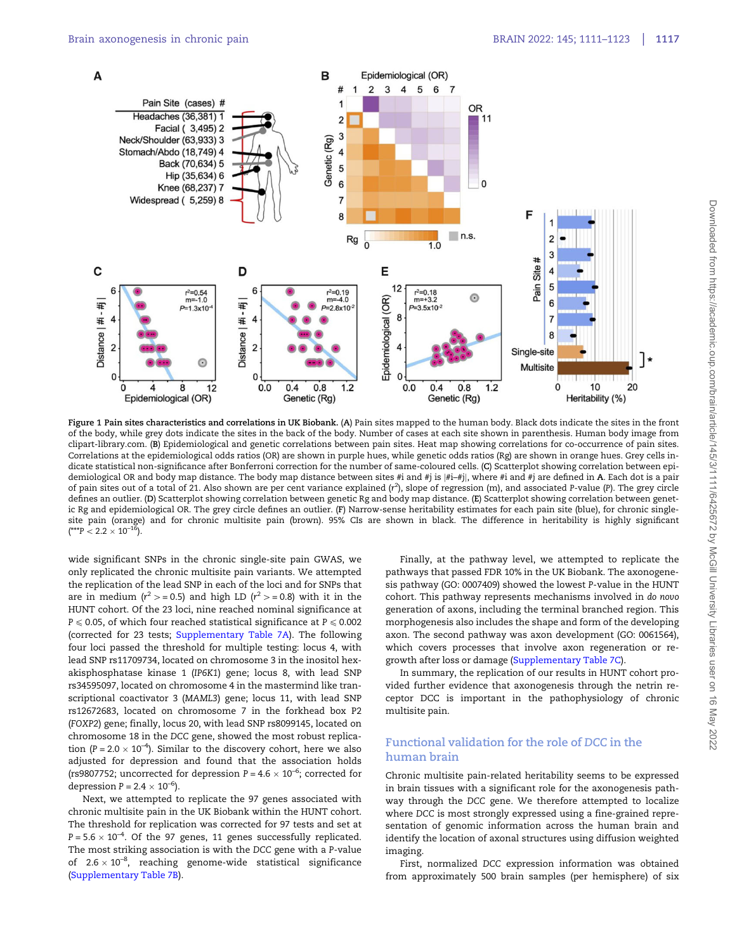<span id="page-6-0"></span>

Figure 1 Pain sites characteristics and correlations in UK Biobank. (A) Pain sites mapped to the human body. Black dots indicate the sites in the front of the body, while grey dots indicate the sites in the back of the body. Number of cases at each site shown in parenthesis. Human body image from clipart-library.com. (B) Epidemiological and genetic correlations between pain sites. Heat map showing correlations for co-occurrence of pain sites. Correlations at the epidemiological odds ratios (OR) are shown in purple hues, while genetic odds ratios (Rg) are shown in orange hues. Grey cells indicate statistical non-significance after Bonferroni correction for the number of same-coloured cells. (C) Scatterplot showing correlation between epidemiological OR and body map distance. The body map distance between sites #i and #j is |#i–#j|, where #i and #j are defined in A. Each dot is a pair of pain sites out of a total of 21. Also shown are per cent variance explained (r<sup>2</sup>), slope of regression (m), and associated P-value (P). The grey circle defines an outlier. (D) Scatterplot showing correlation between genetic Rg and body map distance. (E) Scatterplot showing correlation between genetic Rg and epidemiological OR. The grey circle defines an outlier. (F) Narrow-sense heritability estimates for each pain site (blue), for chronic singlesite pain (orange) and for chronic multisite pain (brown). 95% CIs are shown in black. The difference in heritability is highly significant  $(*^{**}P < 2.2 \times 10^{-16}).$ 

wide significant SNPs in the chronic single-site pain GWAS, we only replicated the chronic multisite pain variants. We attempted the replication of the lead SNP in each of the loci and for SNPs that are in medium ( $r^2$  > = 0.5) and high LD ( $r^2$  > = 0.8) with it in the HUNT cohort. Of the 23 loci, nine reached nominal significance at  $P \le 0.05$ , of which four reached statistical significance at  $P \le 0.002$ (corrected for 23 tests; [Supplementary Table 7A](https://academic.oup.com/brain/article-lookup/doi/10.1093/brain/awab359#supplementary-data)). The following four loci passed the threshold for multiple testing: locus 4, with lead SNP rs11709734, located on chromosome 3 in the inositol hexakisphosphatase kinase 1 (IP6K1) gene; locus 8, with lead SNP rs34595097, located on chromosome 4 in the mastermind like transcriptional coactivator 3 (MAML3) gene; locus 11, with lead SNP rs12672683, located on chromosome 7 in the forkhead box P2 (FOXP2) gene; finally, locus 20, with lead SNP rs8099145, located on chromosome 18 in the DCC gene, showed the most robust replication (P = 2.0  $\times$  10<sup>-4</sup>). Similar to the discovery cohort, here we also adjusted for depression and found that the association holds (rs9807752; uncorrected for depression  $P = 4.6 \times 10^{-6}$ ; corrected for depression  $P = 2.4 \times 10^{-6}$ ).

Next, we attempted to replicate the 97 genes associated with chronic multisite pain in the UK Biobank within the HUNT cohort. The threshold for replication was corrected for 97 tests and set at  $P = 5.6 \times 10^{-4}$ . Of the 97 genes, 11 genes successfully replicated. The most striking association is with the DCC gene with a P-value of  $2.6 \times 10^{-8}$ , reaching genome-wide statistical significance [\(Supplementary Table 7B](https://academic.oup.com/brain/article-lookup/doi/10.1093/brain/awab359#supplementary-data)).

Finally, at the pathway level, we attempted to replicate the pathways that passed FDR 10% in the UK Biobank. The axonogenesis pathway (GO: 0007409) showed the lowest P-value in the HUNT cohort. This pathway represents mechanisms involved in do novo generation of axons, including the terminal branched region. This morphogenesis also includes the shape and form of the developing axon. The second pathway was axon development (GO: 0061564), which covers processes that involve axon regeneration or regrowth after loss or damage ([Supplementary Table 7C](https://academic.oup.com/brain/article-lookup/doi/10.1093/brain/awab359#supplementary-data)).

In summary, the replication of our results in HUNT cohort provided further evidence that axonogenesis through the netrin receptor DCC is important in the pathophysiology of chronic multisite pain.

# Functional validation for the role of DCC in the human brain

Chronic multisite pain-related heritability seems to be expressed in brain tissues with a significant role for the axonogenesis pathway through the DCC gene. We therefore attempted to localize where DCC is most strongly expressed using a fine-grained representation of genomic information across the human brain and identify the location of axonal structures using diffusion weighted imaging.

First, normalized DCC expression information was obtained from approximately 500 brain samples (per hemisphere) of six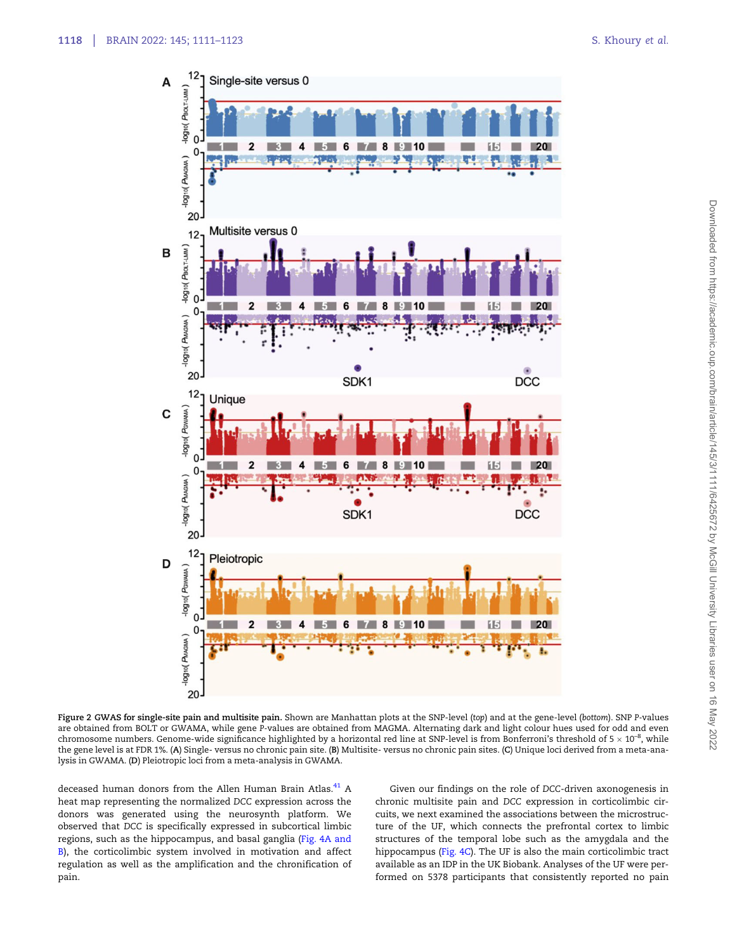<span id="page-7-0"></span>

Figure 2 GWAS for single-site pain and multisite pain. Shown are Manhattan plots at the SNP-level (top) and at the gene-level (bottom). SNP P-values are obtained from BOLT or GWAMA, while gene P-values are obtained from MAGMA. Alternating dark and light colour hues used for odd and even chromosome numbers. Genome-wide significance highlighted by a horizontal red line at SNP-level is from Bonferroni's threshold of 5  $\times$  10<sup>-8</sup>, while the gene level is at FDR 1%. (A) Single- versus no chronic pain site. (B) Multisite- versus no chronic pain sites. (C) Unique loci derived from a meta-analysis in GWAMA. (D) Pleiotropic loci from a meta-analysis in GWAMA.

deceased human donors from the Allen Human Brain Atlas.<sup>[41](#page-12-0)</sup> A heat map representing the normalized DCC expression across the donors was generated using the neurosynth platform. We observed that DCC is specifically expressed in subcortical limbic regions, such as the hippocampus, and basal ganglia [\(Fig. 4A and](#page-9-0) [B\)](#page-9-0), the corticolimbic system involved in motivation and affect regulation as well as the amplification and the chronification of pain.

Given our findings on the role of DCC-driven axonogenesis in chronic multisite pain and DCC expression in corticolimbic circuits, we next examined the associations between the microstructure of the UF, which connects the prefrontal cortex to limbic structures of the temporal lobe such as the amygdala and the hippocampus ([Fig. 4C](#page-9-0)). The UF is also the main corticolimbic tract available as an IDP in the UK Biobank. Analyses of the UF were performed on 5378 participants that consistently reported no pain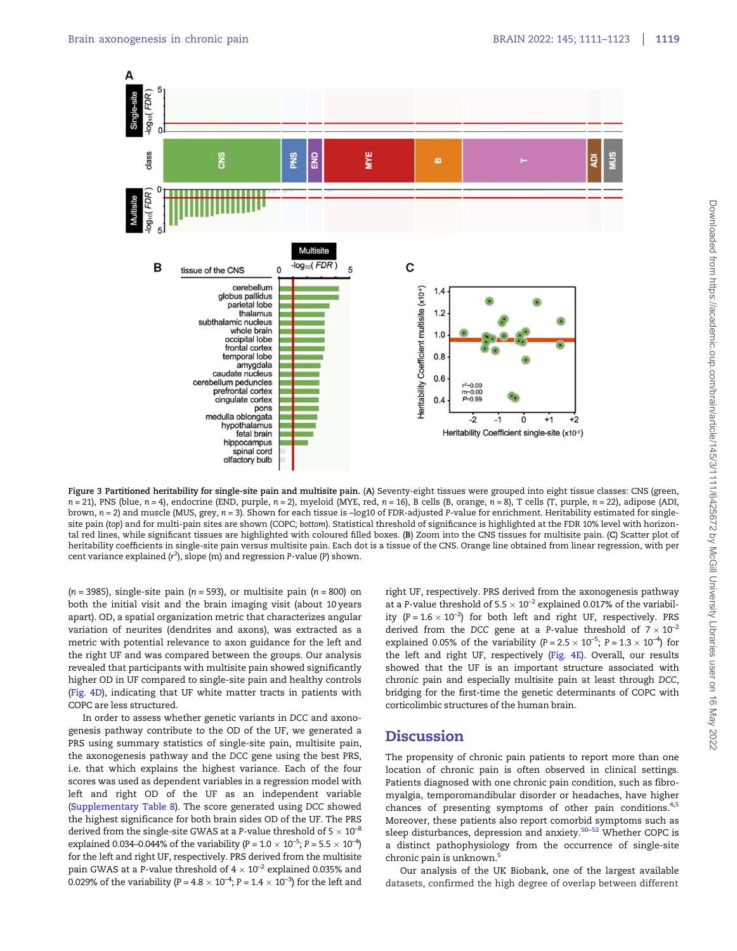<span id="page-8-0"></span>

Figure 3 Partitioned heritability for single-site pain and multisite pain. (A) Seventy-eight tissues were grouped into eight tissue classes: CNS (green,  $n = 21$ ), PNS (blue,  $n = 4$ ), endocrine (END, purple,  $n = 2$ ), myeloid (MYE, red,  $n = 16$ ), B cells (B, orange,  $n = 8$ ), T cells (T, purple,  $n = 22$ ), adipose (ADI, brown,  $n = 2$ ) and muscle (MUS, grey,  $n = 3$ ). Shown for each tissue is -log10 of FDR-adjusted P-value for enrichment. Heritability estimated for singlesite pain (top) and for multi-pain sites are shown (COPC; bottom). Statistical threshold of significance is highlighted at the FDR 10% level with horizontal red lines, while significant tissues are highlighted with coloured filled boxes. (B) Zoom into the CNS tissues for multisite pain. (C) Scatter plot of heritability coefficients in single-site pain versus multisite pain. Each dot is a tissue of the CNS. Orange line obtained from linear regression, with per cent variance explained ( $r^2$ ), slope (m) and regression P-value (P) shown.

 $(n = 3985)$ , single-site pain  $(n = 593)$ , or multisite pain  $(n = 800)$  on both the initial visit and the brain imaging visit (about 10 years apart). OD, a spatial organization metric that characterizes angular variation of neurites (dendrites and axons), was extracted as a metric with potential relevance to axon guidance for the left and the right UF and was compared between the groups. Our analysis revealed that participants with multisite pain showed significantly higher OD in UF compared to single-site pain and healthy controls [\(Fig. 4D\)](#page-9-0), indicating that UF white matter tracts in patients with COPC are less structured.

In order to assess whether genetic variants in DCC and axonogenesis pathway contribute to the OD of the UF, we generated a PRS using summary statistics of single-site pain, multisite pain, the axonogenesis pathway and the DCC gene using the best PRS, i.e. that which explains the highest variance. Each of the four scores was used as dependent variables in a regression model with left and right OD of the UF as an independent variable [\(Supplementary Table 8](https://academic.oup.com/brain/article-lookup/doi/10.1093/brain/awab359#supplementary-data)). The score generated using DCC showed the highest significance for both brain sides OD of the UF. The PRS derived from the single-site GWAS at a P-value threshold of 5  $\times$   $10^{-8}$ explained 0.034–0.044% of the variability (P = 1.0  $\times$  10<sup>-5</sup>; P = 5.5  $\times$  10<sup>-4</sup>) for the left and right UF, respectively. PRS derived from the multisite pain GWAS at a P-value threshold of 4  $\times$  10<sup>–2</sup> explained 0.035% and 0.029% of the variability (P = 4.8  $\times$  10<sup>-4</sup>; P = 1.4  $\times$  10<sup>-3</sup>) for the left and

right UF, respectively. PRS derived from the axonogenesis pathway at a P-value threshold of  $5.5 \times 10^{-2}$  explained 0.017% of the variability  $(P = 1.6 \times 10^{-2})$  for both left and right UF, respectively. PRS derived from the DCC gene at a P-value threshold of  $7 \times 10^{-2}$ explained 0.05% of the variability  $(P = 2.5 \times 10^{-5})$ ;  $P = 1.3 \times 10^{-4}$  for the left and right UF, respectively [\(Fig. 4E](#page-9-0)). Overall, our results showed that the UF is an important structure associated with chronic pain and especially multisite pain at least through DCC, bridging for the first-time the genetic determinants of COPC with corticolimbic structures of the human brain.

# **Discussion**

The propensity of chronic pain patients to report more than one location of chronic pain is often observed in clinical settings. Patients diagnosed with one chronic pain condition, such as fibromyalgia, temporomandibular disorder or headaches, have higher chances of presenting symptoms of other pain conditions.<sup>[4,5](#page-11-0)</sup> Moreover, these patients also report comorbid symptoms such as sleep disturbances, depression and anxiety.<sup>[50](#page-12-0)–[52](#page-12-0)</sup> Whether COPC is a distinct pathophysiology from the occurrence of single-site chronic pain is unknown.[5](#page-11-0)

Our analysis of the UK Biobank, one of the largest available datasets, confirmed the high degree of overlap between different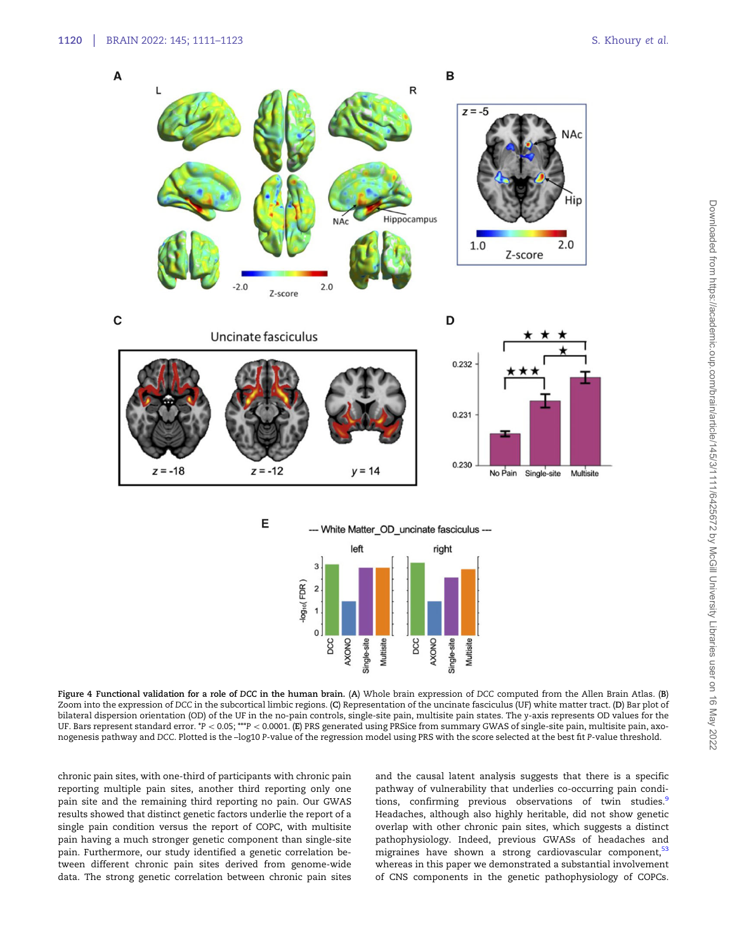<span id="page-9-0"></span>

Figure 4 Functional validation for a role of DCC in the human brain. (A) Whole brain expression of DCC computed from the Allen Brain Atlas. (B) Zoom into the expression of DCC in the subcortical limbic regions. (C) Representation of the uncinate fasciculus (UF) white matter tract. (D) Bar plot of bilateral dispersion orientation (OD) of the UF in the no-pain controls, single-site pain, multisite pain states. The y-axis represents OD values for the UF. Bars represent standard error.  $*P < 0.05$ ; \*\*\*P  $< 0.0001$ . (E) PRS generated using PRSice from summary GWAS of single-site pain, multisite pain, axonogenesis pathway and DCC. Plotted is the –log10 P-value of the regression model using PRS with the score selected at the best fit P-value threshold.

chronic pain sites, with one-third of participants with chronic pain reporting multiple pain sites, another third reporting only one pain site and the remaining third reporting no pain. Our GWAS results showed that distinct genetic factors underlie the report of a single pain condition versus the report of COPC, with multisite pain having a much stronger genetic component than single-site pain. Furthermore, our study identified a genetic correlation between different chronic pain sites derived from genome-wide data. The strong genetic correlation between chronic pain sites and the causal latent analysis suggests that there is a specific pathway of vulnerability that underlies co-occurring pain condi-tions, confirming previous observations of twin studies.<sup>[9](#page-11-0)</sup> Headaches, although also highly heritable, did not show genetic overlap with other chronic pain sites, which suggests a distinct pathophysiology. Indeed, previous GWASs of headaches and migraines have shown a strong cardiovascular component,<sup>[53](#page-12-0)</sup> whereas in this paper we demonstrated a substantial involvement of CNS components in the genetic pathophysiology of COPCs.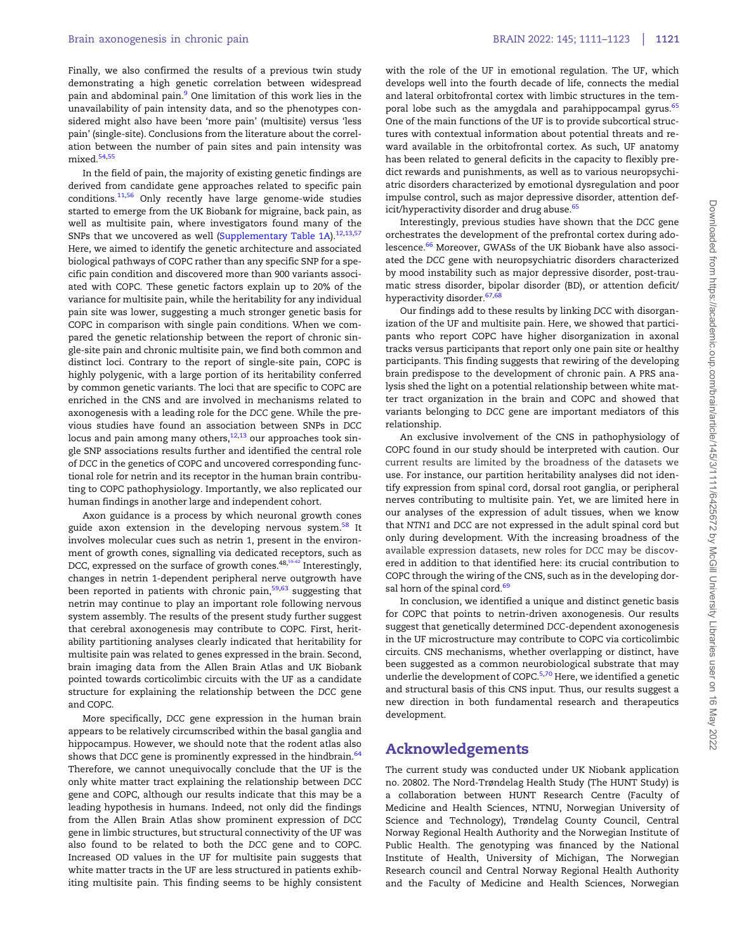<span id="page-10-0"></span>Finally, we also confirmed the results of a previous twin study demonstrating a high genetic correlation between widespread pain and abdominal pain.[9](#page-11-0) One limitation of this work lies in the unavailability of pain intensity data, and so the phenotypes considered might also have been 'more pain' (multisite) versus 'less pain' (single-site). Conclusions from the literature about the correlation between the number of pain sites and pain intensity was mixed<sup>[54,55](#page-12-0)</sup>

In the field of pain, the majority of existing genetic findings are derived from candidate gene approaches related to specific pain conditions.[11,](#page-11-0)[56](#page-12-0) Only recently have large genome-wide studies started to emerge from the UK Biobank for migraine, back pain, as well as multisite pain, where investigators found many of the SNPs that we uncovered as well ([Supplementary Table 1A\)](https://academic.oup.com/brain/article-lookup/doi/10.1093/brain/awab359#supplementary-data).<sup>[12](#page-11-0),[13](#page-11-0)[,57](#page-12-0)</sup> Here, we aimed to identify the genetic architecture and associated biological pathways of COPC rather than any specific SNP for a specific pain condition and discovered more than 900 variants associated with COPC. These genetic factors explain up to 20% of the variance for multisite pain, while the heritability for any individual pain site was lower, suggesting a much stronger genetic basis for COPC in comparison with single pain conditions. When we compared the genetic relationship between the report of chronic single-site pain and chronic multisite pain, we find both common and distinct loci. Contrary to the report of single-site pain, COPC is highly polygenic, with a large portion of its heritability conferred by common genetic variants. The loci that are specific to COPC are enriched in the CNS and are involved in mechanisms related to axonogenesis with a leading role for the DCC gene. While the previous studies have found an association between SNPs in DCC locus and pain among many others,  $^{12,13}$  $^{12,13}$  $^{12,13}$  $^{12,13}$  $^{12,13}$  our approaches took single SNP associations results further and identified the central role of DCC in the genetics of COPC and uncovered corresponding functional role for netrin and its receptor in the human brain contributing to COPC pathophysiology. Importantly, we also replicated our human findings in another large and independent cohort.

Axon guidance is a process by which neuronal growth cones guide axon extension in the developing nervous system.<sup>[58](#page-12-0)</sup> It involves molecular cues such as netrin 1, present in the environment of growth cones, signalling via dedicated receptors, such as DCC, expressed on the surface of growth cones. $^{48,59-62}$  Interestingly, changes in netrin 1-dependent peripheral nerve outgrowth have been reported in patients with chronic pain,<sup>[59,63](#page-12-0)</sup> suggesting that netrin may continue to play an important role following nervous system assembly. The results of the present study further suggest that cerebral axonogenesis may contribute to COPC. First, heritability partitioning analyses clearly indicated that heritability for multisite pain was related to genes expressed in the brain. Second, brain imaging data from the Allen Brain Atlas and UK Biobank pointed towards corticolimbic circuits with the UF as a candidate structure for explaining the relationship between the DCC gene and COPC.

More specifically, DCC gene expression in the human brain appears to be relatively circumscribed within the basal ganglia and hippocampus. However, we should note that the rodent atlas also shows that DCC gene is prominently expressed in the hindbrain.<sup>[64](#page-12-0)</sup> Therefore, we cannot unequivocally conclude that the UF is the only white matter tract explaining the relationship between DCC gene and COPC, although our results indicate that this may be a leading hypothesis in humans. Indeed, not only did the findings from the Allen Brain Atlas show prominent expression of DCC gene in limbic structures, but structural connectivity of the UF was also found to be related to both the DCC gene and to COPC. Increased OD values in the UF for multisite pain suggests that white matter tracts in the UF are less structured in patients exhibiting multisite pain. This finding seems to be highly consistent with the role of the UF in emotional regulation. The UF, which develops well into the fourth decade of life, connects the medial and lateral orbitofrontal cortex with limbic structures in the tem-poral lobe such as the amygdala and parahippocampal gyrus.<sup>[65](#page-12-0)</sup> One of the main functions of the UF is to provide subcortical structures with contextual information about potential threats and reward available in the orbitofrontal cortex. As such, UF anatomy has been related to general deficits in the capacity to flexibly predict rewards and punishments, as well as to various neuropsychiatric disorders characterized by emotional dysregulation and poor impulse control, such as major depressive disorder, attention def-icit/hyperactivity disorder and drug abuse.<sup>[65](#page-12-0)</sup>

Interestingly, previous studies have shown that the DCC gene orchestrates the development of the prefrontal cortex during ado-lescence.<sup>[66](#page-12-0)</sup> Moreover, GWASs of the UK Biobank have also associated the DCC gene with neuropsychiatric disorders characterized by mood instability such as major depressive disorder, post-traumatic stress disorder, bipolar disorder (BD), or attention deficit/ hyperactivity disorder.<sup>[67,68](#page-12-0)</sup>

Our findings add to these results by linking DCC with disorganization of the UF and multisite pain. Here, we showed that participants who report COPC have higher disorganization in axonal tracks versus participants that report only one pain site or healthy participants. This finding suggests that rewiring of the developing brain predispose to the development of chronic pain. A PRS analysis shed the light on a potential relationship between white matter tract organization in the brain and COPC and showed that variants belonging to DCC gene are important mediators of this relationship.

An exclusive involvement of the CNS in pathophysiology of COPC found in our study should be interpreted with caution. Our use. For instance, our partition heritability analyses did not identify expression from spinal cord, dorsal root ganglia, or peripheral nerves contributing to multisite pain. Yet, we are limited here in our analyses of the expression of adult tissues, when we know that NTN1 and DCC are not expressed in the adult spinal cord but only during development. With the increasing broadness of the ered in addition to that identified here: its crucial contribution to COPC through the wiring of the CNS, such as in the developing dor-sal horn of the spinal cord.<sup>[69](#page-12-0)</sup> current results are limited by the broadness of the datasets we available expression datasets, new roles for DCC may be discov-

In conclusion, we identified a unique and distinct genetic basis for COPC that points to netrin-driven axonogenesis. Our results suggest that genetically determined DCC-dependent axonogenesis in the UF microstructure may contribute to COPC via corticolimbic circuits. CNS mechanisms, whether overlapping or distinct, have been suggested as a common neurobiological substrate that may underlie the development of COPC.<sup>[5](#page-11-0),[70](#page-12-0)</sup> Here, we identified a genetic and structural basis of this CNS input. Thus, our results suggest a new direction in both fundamental research and therapeutics development.

# Acknowledgements

The current study was conducted under UK Niobank application no. 20802. The Nord-Trøndelag Health Study (The HUNT Study) is a collaboration between HUNT Research Centre (Faculty of Medicine and Health Sciences, NTNU, Norwegian University of Science and Technology), Trøndelag County Council, Central Norway Regional Health Authority and the Norwegian Institute of Public Health. The genotyping was financed by the National Institute of Health, University of Michigan, The Norwegian Research council and Central Norway Regional Health Authority and the Faculty of Medicine and Health Sciences, Norwegian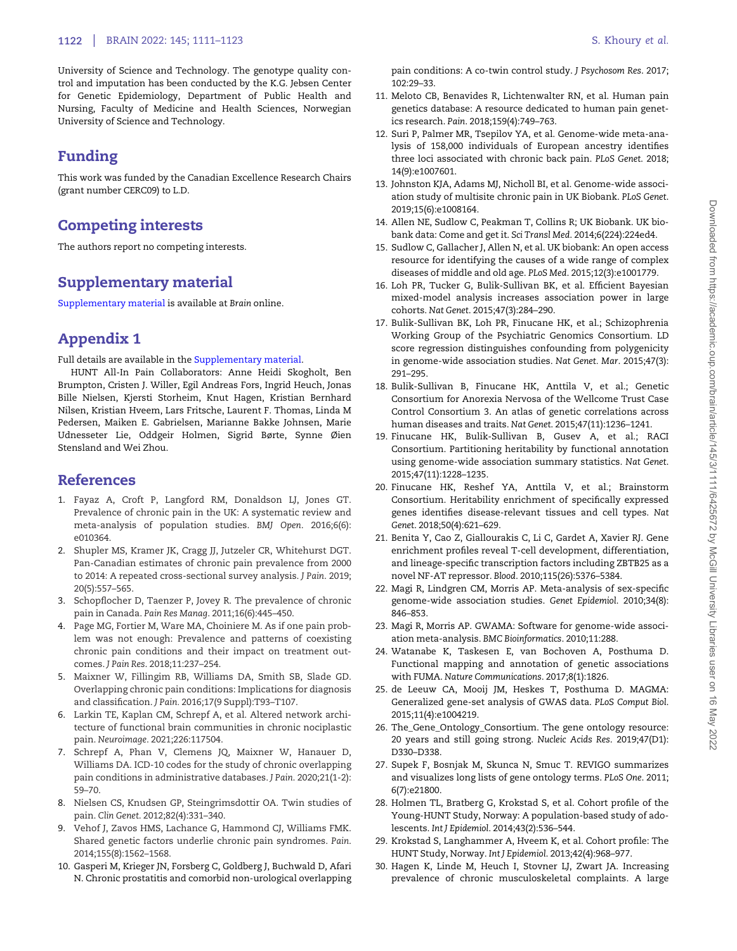## <span id="page-11-0"></span>**1122** | BRAIN 2022: 145; 1111–1123 S. Khoury et al.

University of Science and Technology. The genotype quality control and imputation has been conducted by the K.G. Jebsen Center for Genetic Epidemiology, Department of Public Health and Nursing, Faculty of Medicine and Health Sciences, Norwegian University of Science and Technology.

# Funding

This work was funded by the Canadian Excellence Research Chairs (grant number CERC09) to L.D.

# Competing interests

The authors report no competing interests.

# Supplementary material

[Supplementary material](https://academic.oup.com/brain/article-lookup/doi/10.1093/brain/awab359#supplementary-data) is available at Brain online.

# Appendix 1

Full details are available in the [Supplementary material.](https://academic.oup.com/brain/article-lookup/doi/10.1093/brain/awab359#supplementary-data)

HUNT All-In Pain Collaborators: Anne Heidi Skogholt, Ben Brumpton, Cristen J. Willer, Egil Andreas Fors, Ingrid Heuch, Jonas Bille Nielsen, Kjersti Storheim, Knut Hagen, Kristian Bernhard Nilsen, Kristian Hveem, Lars Fritsche, Laurent F. Thomas, Linda M Pedersen, Maiken E. Gabrielsen, Marianne Bakke Johnsen, Marie Udnesseter Lie, Oddgeir Holmen, Sigrid Børte, Synne Øien Stensland and Wei Zhou.

# References

- 1. Fayaz A, Croft P, Langford RM, Donaldson LJ, Jones GT. Prevalence of chronic pain in the UK: A systematic review and meta-analysis of population studies. BMJ Open. 2016;6(6): e010364.
- [2](#page-2-0). Shupler MS, Kramer JK, Cragg JJ, Jutzeler CR, Whitehurst DGT. Pan-Canadian estimates of chronic pain prevalence from 2000 to 2014: A repeated cross-sectional survey analysis. J Pain. 2019; 20(5):557–565.
- 3. Schopflocher D, Taenzer P, Jovey R. The prevalence of chronic pain in Canada. Pain Res Manag. 2011;16(6):445–450.
- [4](#page-1-0). Page MG, Fortier M, Ware MA, Choiniere M. As if one pain problem was not enough: Prevalence and patterns of coexisting chronic pain conditions and their impact on treatment outcomes. J Pain Res. 2018;11:237–254.
- [5](#page-1-0). Maixner W, Fillingim RB, Williams DA, Smith SB, Slade GD. Overlapping chronic pain conditions: Implications for diagnosis and classification. J Pain. 2016;17(9 Suppl):T93–T107.
- [6](#page-1-0). Larkin TE, Kaplan CM, Schrepf A, et al. Altered network architecture of functional brain communities in chronic nociplastic pain. Neuroimage. 2021;226:117504.
- [7](#page-1-0). Schrepf A, Phan V, Clemens JQ, Maixner W, Hanauer D, Williams DA. ICD-10 codes for the study of chronic overlapping pain conditions in administrative databases. J Pain. 2020;21(1-2): 59–70.
- [8](#page-1-0). Nielsen CS, Knudsen GP, Steingrimsdottir OA. Twin studies of pain. Clin Genet. 2012;82(4):331–340.
- [9](#page-1-0). Vehof J, Zavos HMS, Lachance G, Hammond CJ, Williams FMK. Shared genetic factors underlie chronic pain syndromes. Pain. 2014;155(8):1562–1568.
- [10](#page-1-0). Gasperi M, Krieger JN, Forsberg C, Goldberg J, Buchwald D, Afari N. Chronic prostatitis and comorbid non-urological overlapping

pain conditions: A co-twin control study. J Psychosom Res. 2017; 102:29–33.

- [11](#page-1-0). Meloto CB, Benavides R, Lichtenwalter RN, et al. Human pain genetics database: A resource dedicated to human pain genetics research. Pain. 2018;159(4):749–763.
- [12](#page-1-0). Suri P, Palmer MR, Tsepilov YA, et al. Genome-wide meta-analysis of 158,000 individuals of European ancestry identifies three loci associated with chronic back pain. PLoS Genet. 2018; 14(9):e1007601.
- [13](#page-1-0). Johnston KJA, Adams MJ, Nicholl BI, et al. Genome-wide association study of multisite chronic pain in UK Biobank. PLoS Genet. 2019;15(6):e1008164.
- [14](#page-1-0). Allen NE, Sudlow C, Peakman T, Collins R; UK Biobank. UK biobank data: Come and get it. Sci Transl Med. 2014;6(224):224ed4.
- [15](#page-1-0). Sudlow C, Gallacher J, Allen N, et al. UK biobank: An open access resource for identifying the causes of a wide range of complex diseases of middle and old age. PLoS Med. 2015;12(3):e1001779.
- [16](#page-2-0). Loh PR, Tucker G, Bulik-Sullivan BK, et al. Efficient Bayesian mixed-model analysis increases association power in large cohorts. Nat Genet. 2015;47(3):284–290.
- [17](#page-2-0). Bulik-Sullivan BK, Loh PR, Finucane HK, et al.; Schizophrenia Working Group of the Psychiatric Genomics Consortium. LD score regression distinguishes confounding from polygenicity in genome-wide association studies. Nat Genet. Mar. 2015;47(3): 291–295.
- [18](#page-2-0). Bulik-Sullivan B, Finucane HK, Anttila V, et al.; Genetic Consortium for Anorexia Nervosa of the Wellcome Trust Case Control Consortium 3. An atlas of genetic correlations across human diseases and traits. Nat Genet. 2015;47(11):1236–1241.
- [19](#page-2-0). Finucane HK, Bulik-Sullivan B, Gusev A, et al.; RACI Consortium. Partitioning heritability by functional annotation using genome-wide association summary statistics. Nat Genet. 2015;47(11):1228–1235.
- [20](#page-2-0). Finucane HK, Reshef YA, Anttila V, et al.; Brainstorm Consortium. Heritability enrichment of specifically expressed genes identifies disease-relevant tissues and cell types. Nat Genet. 2018;50(4):621–629.
- [21](#page-2-0). Benita Y, Cao Z, Giallourakis C, Li C, Gardet A, Xavier RJ. Gene enrichment profiles reveal T-cell development, differentiation, and lineage-specific transcription factors including ZBTB25 as a novel NF-AT repressor. Blood. 2010;115(26):5376–5384.
- [22](#page-2-0). Magi R, Lindgren CM, Morris AP. Meta-analysis of sex-specific genome-wide association studies. Genet Epidemiol. 2010;34(8): 846–853.
- [23](#page-2-0). Magi R, Morris AP. GWAMA: Software for genome-wide association meta-analysis. BMC Bioinformatics. 2010;11:288.
- [24](#page-2-0). Watanabe K, Taskesen E, van Bochoven A, Posthuma D. Functional mapping and annotation of genetic associations with FUMA. Nature Communications. 2017;8(1):1826.
- [25](#page-2-0). de Leeuw CA, Mooij JM, Heskes T, Posthuma D. MAGMA: Generalized gene-set analysis of GWAS data. PLoS Comput Biol. 2015;11(4):e1004219.
- [26](#page-2-0). The\_Gene\_Ontology\_Consortium. The gene ontology resource: 20 years and still going strong. Nucleic Acids Res. 2019;47(D1): D330–D338.
- [27](#page-2-0). Supek F, Bosnjak M, Skunca N, Smuc T. REVIGO summarizes and visualizes long lists of gene ontology terms. PLoS One. 2011; 6(7):e21800.
- [28](#page-2-0). Holmen TL, Bratberg G, Krokstad S, et al. Cohort profile of the Young-HUNT Study, Norway: A population-based study of adolescents. Int J Epidemiol. 2014;43(2):536–544.
- [29](#page-2-0). Krokstad S, Langhammer A, Hveem K, et al. Cohort profile: The HUNT Study, Norway. Int J Epidemiol. 2013;42(4):968–977.
- [30](#page-2-0). Hagen K, Linde M, Heuch I, Stovner LJ, Zwart JA. Increasing prevalence of chronic musculoskeletal complaints. A large